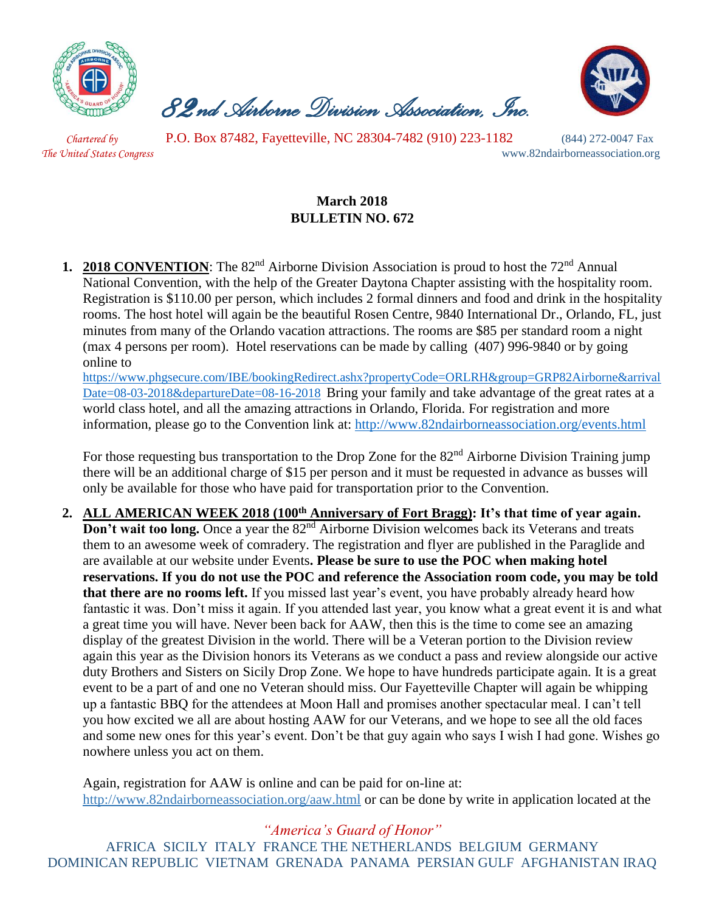

 *82nd Airborne Division Association, Inc.* 



 *Chartered by* P.O. Box 87482, Fayetteville, NC 28304-7482 (910) 223-1182 (844) 272-0047 Fax

*The United States Congress* www.82ndairborneassociation.org

## **March 2018 BULLETIN NO. 672**

**1. 2018 CONVENTION**: The 82<sup>nd</sup> Airborne Division Association is proud to host the 72<sup>nd</sup> Annual National Convention, with the help of the Greater Daytona Chapter assisting with the hospitality room. Registration is \$110.00 per person, which includes 2 formal dinners and food and drink in the hospitality rooms. The host hotel will again be the beautiful Rosen Centre, 9840 International Dr., Orlando, FL, just minutes from many of the Orlando vacation attractions. The rooms are \$85 per standard room a night (max 4 persons per room). Hotel reservations can be made by calling (407) 996-9840 or by going online t[o](https://linkprotect.cudasvc.com/url?a=https://www.phgsecure.com/IBE/bookingRedirect.ashx%3fpropertyCode%3dORLRH%26group%3dGRP82Airborne%26arrivalDate%3d08-03-2018%26departureDate%3d08-16-2018&c=E,1,HJtkOoO-PUZczzsVfSzwv1cNxcZEiOIYkaul51Pqvrt0mtZE9BFRRgYTPurE5U_mLWnXg2_HaS66eVRzXCgHDjvxr7tr8i3ZlU6XNH5Mc8xS&typo=1)

[https://www.phgsecure.com/IBE/bookingRedirect.ashx?propertyCode=ORLRH&group=GRP82Airborne&arrival](https://linkprotect.cudasvc.com/url?a=https://www.phgsecure.com/IBE/bookingRedirect.ashx%3fpropertyCode%3dORLRH%26group%3dGRP82Airborne%26arrivalDate%3d08-03-2018%26departureDate%3d08-16-2018&c=E,1,HJtkOoO-PUZczzsVfSzwv1cNxcZEiOIYkaul51Pqvrt0mtZE9BFRRgYTPurE5U_mLWnXg2_HaS66eVRzXCgHDjvxr7tr8i3ZlU6XNH5Mc8xS&typo=1) [Date=08-03-2018&departureDate=08-16-2018](https://linkprotect.cudasvc.com/url?a=https://www.phgsecure.com/IBE/bookingRedirect.ashx%3fpropertyCode%3dORLRH%26group%3dGRP82Airborne%26arrivalDate%3d08-03-2018%26departureDate%3d08-16-2018&c=E,1,HJtkOoO-PUZczzsVfSzwv1cNxcZEiOIYkaul51Pqvrt0mtZE9BFRRgYTPurE5U_mLWnXg2_HaS66eVRzXCgHDjvxr7tr8i3ZlU6XNH5Mc8xS&typo=1) Bring your family and take advantage of the great rates at a world class hotel, and all the amazing attractions in Orlando, Florida. For registration and more information, please go to the Convention link at:<http://www.82ndairborneassociation.org/events.html>

For those requesting bus transportation to the Drop Zone for the 82<sup>nd</sup> Airborne Division Training jump there will be an additional charge of \$15 per person and it must be requested in advance as busses will only be available for those who have paid for transportation prior to the Convention.

**2. ALL AMERICAN WEEK 2018 (100th Anniversary of Fort Bragg): It's that time of year again. Don't wait too long.** Once a year the 82<sup>nd</sup> Airborne Division welcomes back its Veterans and treats them to an awesome week of comradery. The registration and flyer are published in the Paraglide and are available at our website under Events**. Please be sure to use the POC when making hotel reservations. If you do not use the POC and reference the Association room code, you may be told that there are no rooms left.** If you missed last year's event, you have probably already heard how fantastic it was. Don't miss it again. If you attended last year, you know what a great event it is and what a great time you will have. Never been back for AAW, then this is the time to come see an amazing display of the greatest Division in the world. There will be a Veteran portion to the Division review again this year as the Division honors its Veterans as we conduct a pass and review alongside our active duty Brothers and Sisters on Sicily Drop Zone. We hope to have hundreds participate again. It is a great event to be a part of and one no Veteran should miss. Our Fayetteville Chapter will again be whipping up a fantastic BBQ for the attendees at Moon Hall and promises another spectacular meal. I can't tell you how excited we all are about hosting AAW for our Veterans, and we hope to see all the old faces and some new ones for this year's event. Don't be that guy again who says I wish I had gone. Wishes go nowhere unless you act on them.

Again, registration for AAW is online and can be paid for on-line at: <http://www.82ndairborneassociation.org/aaw.html> or can be done by write in application located at the

*"America's Guard of Honor"* AFRICA SICILY ITALY FRANCE THE NETHERLANDS BELGIUM GERMANY DOMINICAN REPUBLIC VIETNAM GRENADA PANAMA PERSIAN GULF AFGHANISTAN IRAQ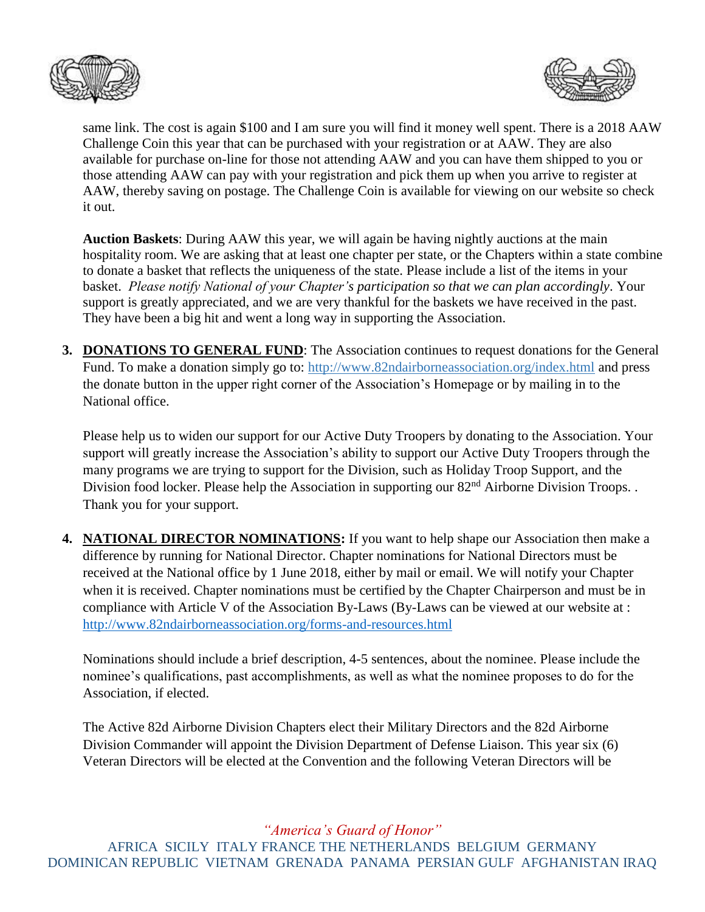



same link. The cost is again \$100 and I am sure you will find it money well spent. There is a 2018 AAW Challenge Coin this year that can be purchased with your registration or at AAW. They are also available for purchase on-line for those not attending AAW and you can have them shipped to you or those attending AAW can pay with your registration and pick them up when you arrive to register at AAW, thereby saving on postage. The Challenge Coin is available for viewing on our website so check it out.

**Auction Baskets**: During AAW this year, we will again be having nightly auctions at the main hospitality room. We are asking that at least one chapter per state, or the Chapters within a state combine to donate a basket that reflects the uniqueness of the state. Please include a list of the items in your basket. *Please notify National of your Chapter's participation so that we can plan accordingly*. Your support is greatly appreciated, and we are very thankful for the baskets we have received in the past. They have been a big hit and went a long way in supporting the Association.

**3. DONATIONS TO GENERAL FUND**: The Association continues to request donations for the General Fund. To make a donation simply go to:<http://www.82ndairborneassociation.org/index.html> and press the donate button in the upper right corner of the Association's Homepage or by mailing in to the National office.

Please help us to widen our support for our Active Duty Troopers by donating to the Association. Your support will greatly increase the Association's ability to support our Active Duty Troopers through the many programs we are trying to support for the Division, such as Holiday Troop Support, and the Division food locker. Please help the Association in supporting our 82<sup>nd</sup> Airborne Division Troops. . Thank you for your support.

**4. NATIONAL DIRECTOR NOMINATIONS:** If you want to help shape our Association then make a difference by running for National Director. Chapter nominations for National Directors must be received at the National office by 1 June 2018, either by mail or email. We will notify your Chapter when it is received. Chapter nominations must be certified by the Chapter Chairperson and must be in compliance with Article V of the Association By-Laws (By-Laws can be viewed at our website at : <http://www.82ndairborneassociation.org/forms-and-resources.html>

Nominations should include a brief description, 4-5 sentences, about the nominee. Please include the nominee's qualifications, past accomplishments, as well as what the nominee proposes to do for the Association, if elected.

The Active 82d Airborne Division Chapters elect their Military Directors and the 82d Airborne Division Commander will appoint the Division Department of Defense Liaison. This year six (6) Veteran Directors will be elected at the Convention and the following Veteran Directors will be

*"America's Guard of Honor"*

AFRICA SICILY ITALY FRANCE THE NETHERLANDS BELGIUM GERMANY DOMINICAN REPUBLIC VIETNAM GRENADA PANAMA PERSIAN GULF AFGHANISTAN IRAQ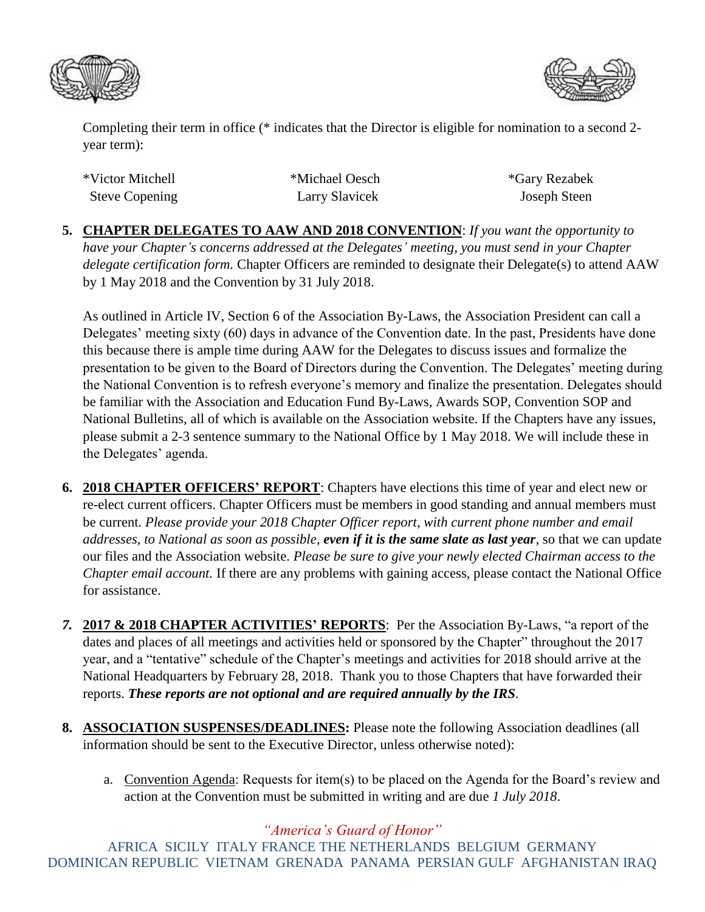



Completing their term in office (\* indicates that the Director is eligible for nomination to a second 2 year term):

| *Victor Mitchell      |
|-----------------------|
| <b>Steve Copening</b> |

\*Michael Oesch \*Gary Rezabek Larry Slavicek Joseph Steen

**5. CHAPTER DELEGATES TO AAW AND 2018 CONVENTION**: *If you want the opportunity to have your Chapter's concerns addressed at the Delegates' meeting, you must send in your Chapter delegate certification form.* Chapter Officers are reminded to designate their Delegate(s) to attend AAW by 1 May 2018 and the Convention by 31 July 2018.

As outlined in Article IV, Section 6 of the Association By-Laws, the Association President can call a Delegates' meeting sixty (60) days in advance of the Convention date. In the past, Presidents have done this because there is ample time during AAW for the Delegates to discuss issues and formalize the presentation to be given to the Board of Directors during the Convention. The Delegates' meeting during the National Convention is to refresh everyone's memory and finalize the presentation. Delegates should be familiar with the Association and Education Fund By-Laws, Awards SOP, Convention SOP and National Bulletins, all of which is available on the Association website. If the Chapters have any issues, please submit a 2-3 sentence summary to the National Office by 1 May 2018. We will include these in the Delegates' agenda.

- **6. 2018 CHAPTER OFFICERS' REPORT**: Chapters have elections this time of year and elect new or re-elect current officers. Chapter Officers must be members in good standing and annual members must be current. *Please provide your 2018 Chapter Officer report, with current phone number and email addresses, to National as soon as possible, even if it is the same slate as last year,* so that we can update our files and the Association website. *Please be sure to give your newly elected Chairman access to the Chapter email account.* If there are any problems with gaining access, please contact the National Office for assistance.
- *7.* **2017 & 2018 CHAPTER ACTIVITIES' REPORTS**: Per the Association By-Laws, "a report of the dates and places of all meetings and activities held or sponsored by the Chapter" throughout the 2017 year, and a "tentative" schedule of the Chapter's meetings and activities for 2018 should arrive at the National Headquarters by February 28, 2018. Thank you to those Chapters that have forwarded their reports. *These reports are not optional and are required annually by the IRS.*
- **8. ASSOCIATION SUSPENSES/DEADLINES:** Please note the following Association deadlines (all information should be sent to the Executive Director, unless otherwise noted):
	- a. Convention Agenda: Requests for item(s) to be placed on the Agenda for the Board's review and action at the Convention must be submitted in writing and are due *1 July 2018*.

*"America's Guard of Honor"*

AFRICA SICILY ITALY FRANCE THE NETHERLANDS BELGIUM GERMANY DOMINICAN REPUBLIC VIETNAM GRENADA PANAMA PERSIAN GULF AFGHANISTAN IRAQ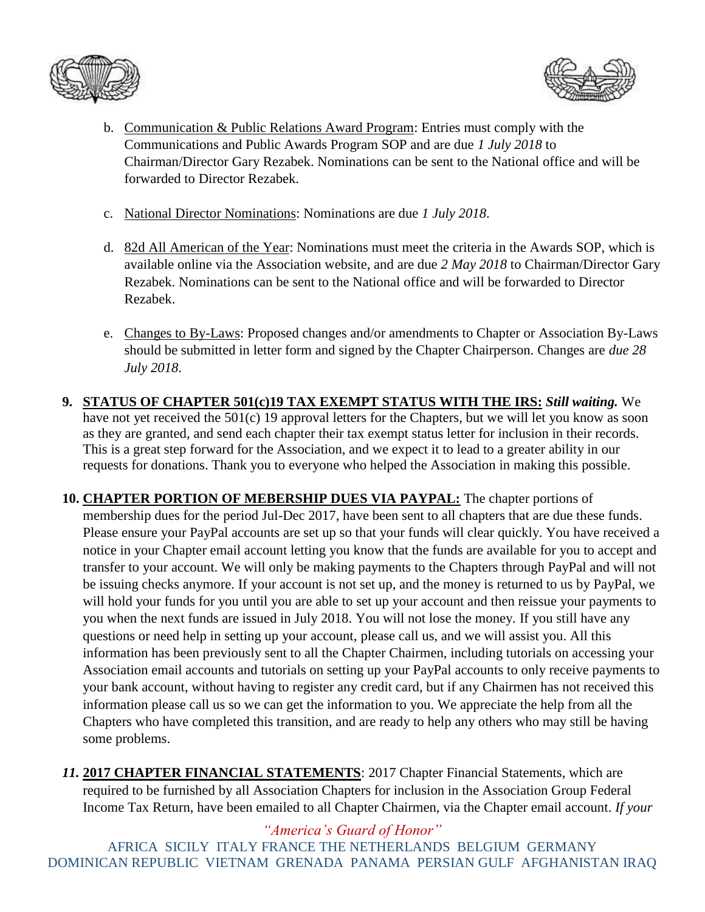



- b. Communication & Public Relations Award Program: Entries must comply with the Communications and Public Awards Program SOP and are due *1 July 2018* to Chairman/Director Gary Rezabek. Nominations can be sent to the National office and will be forwarded to Director Rezabek.
- c. National Director Nominations: Nominations are due *1 July 2018*.
- d. 82d All American of the Year: Nominations must meet the criteria in the Awards SOP, which is available online via the Association website, and are due *2 May 2018* to Chairman/Director Gary Rezabek. Nominations can be sent to the National office and will be forwarded to Director Rezabek.
- e. Changes to By-Laws: Proposed changes and/or amendments to Chapter or Association By-Laws should be submitted in letter form and signed by the Chapter Chairperson. Changes are *due 28 July 2018*.
- **9. STATUS OF CHAPTER 501(c)19 TAX EXEMPT STATUS WITH THE IRS:** *Still waiting.* We have not yet received the 501(c) 19 approval letters for the Chapters, but we will let you know as soon as they are granted, and send each chapter their tax exempt status letter for inclusion in their records. This is a great step forward for the Association, and we expect it to lead to a greater ability in our requests for donations. Thank you to everyone who helped the Association in making this possible.
- **10. CHAPTER PORTION OF MEBERSHIP DUES VIA PAYPAL:** The chapter portions of membership dues for the period Jul-Dec 2017, have been sent to all chapters that are due these funds. Please ensure your PayPal accounts are set up so that your funds will clear quickly. You have received a notice in your Chapter email account letting you know that the funds are available for you to accept and transfer to your account. We will only be making payments to the Chapters through PayPal and will not be issuing checks anymore. If your account is not set up, and the money is returned to us by PayPal, we will hold your funds for you until you are able to set up your account and then reissue your payments to you when the next funds are issued in July 2018. You will not lose the money. If you still have any questions or need help in setting up your account, please call us, and we will assist you. All this information has been previously sent to all the Chapter Chairmen, including tutorials on accessing your Association email accounts and tutorials on setting up your PayPal accounts to only receive payments to your bank account, without having to register any credit card, but if any Chairmen has not received this information please call us so we can get the information to you. We appreciate the help from all the Chapters who have completed this transition, and are ready to help any others who may still be having some problems.
- *11.* **2017 CHAPTER FINANCIAL STATEMENTS**: 2017 Chapter Financial Statements, which are required to be furnished by all Association Chapters for inclusion in the Association Group Federal Income Tax Return, have been emailed to all Chapter Chairmen, via the Chapter email account. *If your*

*"America's Guard of Honor"* AFRICA SICILY ITALY FRANCE THE NETHERLANDS BELGIUM GERMANY DOMINICAN REPUBLIC VIETNAM GRENADA PANAMA PERSIAN GULF AFGHANISTAN IRAQ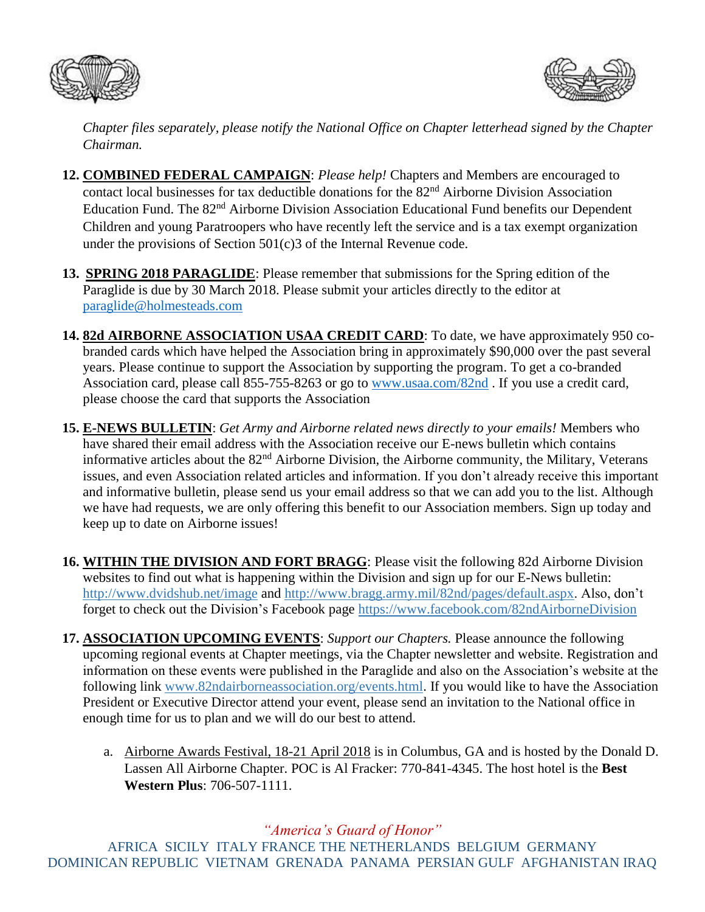



*Chapter files separately, please notify the National Office on Chapter letterhead signed by the Chapter Chairman.*

- **12. COMBINED FEDERAL CAMPAIGN**: *Please help!* Chapters and Members are encouraged to contact local businesses for tax deductible donations for the 82<sup>nd</sup> Airborne Division Association Education Fund. The 82<sup>nd</sup> Airborne Division Association Educational Fund benefits our Dependent Children and young Paratroopers who have recently left the service and is a tax exempt organization under the provisions of Section 501(c)3 of the Internal Revenue code.
- **13. SPRING 2018 PARAGLIDE**: Please remember that submissions for the Spring edition of the Paraglide is due by 30 March 2018. Please submit your articles directly to the editor at [paraglide@holmesteads.com](mailto:paraglide@holmesteads.com)
- **14. 82d AIRBORNE ASSOCIATION USAA CREDIT CARD**: To date, we have approximately 950 cobranded cards which have helped the Association bring in approximately \$90,000 over the past several years. Please continue to support the Association by supporting the program. To get a co-branded Association card, please call 855-755-8263 or go to [www.usaa.com/82nd](http://www.usaa.com/82nd) . If you use a credit card, please choose the card that supports the Association
- **15. E-NEWS BULLETIN**: *Get Army and Airborne related news directly to your emails!* Members who have shared their email address with the Association receive our E-news bulletin which contains informative articles about the 82nd Airborne Division, the Airborne community, the Military, Veterans issues, and even Association related articles and information. If you don't already receive this important and informative bulletin, please send us your email address so that we can add you to the list. Although we have had requests, we are only offering this benefit to our Association members. Sign up today and keep up to date on Airborne issues!
- **16. WITHIN THE DIVISION AND FORT BRAGG**: Please visit the following 82d Airborne Division websites to find out what is happening within the Division and sign up for our E-News bulletin: <http://www.dvidshub.net/image> and [http://www.bragg.army.mil/82nd/pages/default.aspx.](http://www.bragg.army.mil/82ND/Pages/default.aspx) Also, don't forget to check out the Division's Facebook page<https://www.facebook.com/82ndAirborneDivision>
- **17. ASSOCIATION UPCOMING EVENTS**: *Support our Chapters.* Please announce the following upcoming regional events at Chapter meetings, via the Chapter newsletter and website. Registration and information on these events were published in the Paraglide and also on the Association's website at the following link [www.82ndairborneassociation.org/events.html.](http://www.82ndairborneassociation.org/events.html) If you would like to have the Association President or Executive Director attend your event, please send an invitation to the National office in enough time for us to plan and we will do our best to attend.
	- a. Airborne Awards Festival, 18-21 April 2018 is in Columbus, GA and is hosted by the Donald D. Lassen All Airborne Chapter. POC is Al Fracker: 770-841-4345. The host hotel is the **Best Western Plus**: 706-507-1111.

*"America's Guard of Honor"*

AFRICA SICILY ITALY FRANCE THE NETHERLANDS BELGIUM GERMANY DOMINICAN REPUBLIC VIETNAM GRENADA PANAMA PERSIAN GULF AFGHANISTAN IRAQ